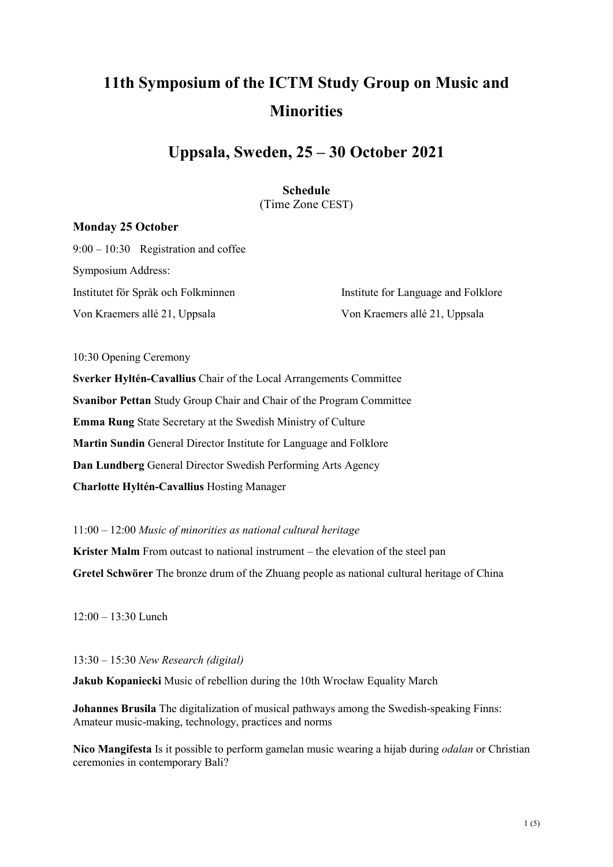# **11th Symposium of the ICTM Study Group on Music and Minorities**

# **Uppsala, Sweden, 25 – 30 October 2021**

# **Schedule**  (Time Zone CEST)

# **Monday 25 October**

9:00 – 10:30 Registration and coffee Symposium Address: Institutet för Språk och Folkminnen Institute for Language and Folklore

Von Kraemers allé 21, Uppsala Von Kraemers allé 21, Uppsala

10:30 Opening Ceremony

**Sverker Hyltén-Cavallius** Chair of the Local Arrangements Committee **Svanibor Pettan** Study Group Chair and Chair of the Program Committee **Emma Rung** State Secretary at the Swedish Ministry of Culture **Martin Sundin** General Director Institute for Language and Folklore **Dan Lundberg** General Director Swedish Performing Arts Agency **Charlotte Hyltén-Cavallius** Hosting Manager

11:00 – 12:00 *Music of minorities as national cultural heritage*

**Krister Malm** From outcast to national instrument – the elevation of the steel pan **Gretel Schwörer** The bronze drum of the Zhuang people as national cultural heritage of China

 $12:00 = 13:30$  Lunch

13:30 – 15:30 *New Research (digital)*

**Jakub Kopaniecki** Music of rebellion during the 10th Wrocław Equality March

**Johannes Brusila** The digitalization of musical pathways among the Swedish-speaking Finns: Amateur music-making, technology, practices and norms

**Nico Mangifesta** Is it possible to perform gamelan music wearing a hijab during *odalan* or Christian ceremonies in contemporary Bali?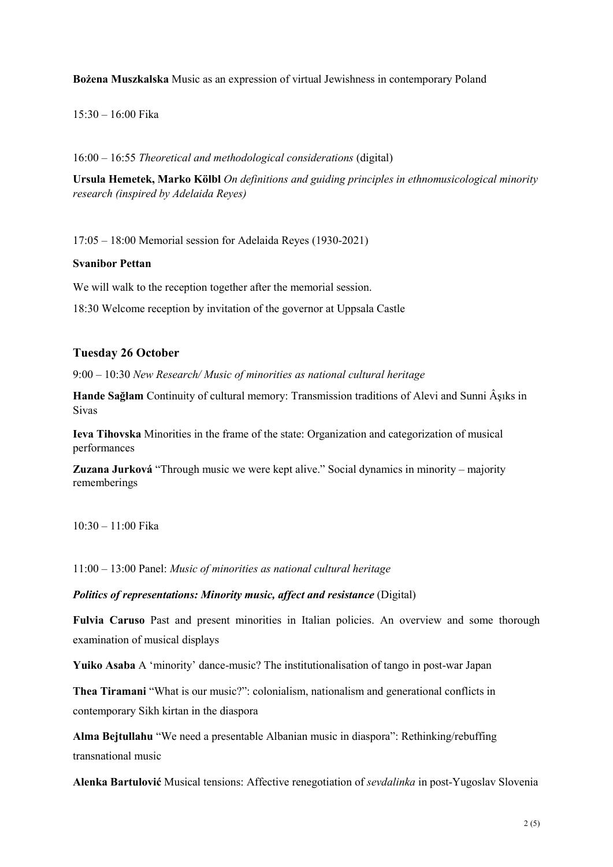**Bożena Muszkalska** Music as an expression of virtual Jewishness in contemporary Poland

15:30 – 16:00 Fika

16:00 – 16:55 *Theoretical and methodological considerations* (digital)

**Ursula Hemetek, Marko Kölbl** *On definitions and guiding principles in ethnomusicological minority research (inspired by Adelaida Reyes)*

17:05 – 18:00 Memorial session for Adelaida Reyes (1930-2021)

#### **Svanibor Pettan**

We will walk to the reception together after the memorial session.

18:30 Welcome reception by invitation of the governor at Uppsala Castle

#### **Tuesday 26 October**

9:00 – 10:30 *New Research/ Music of minorities as national cultural heritage*

**Hande Sağlam** Continuity of cultural memory: Transmission traditions of Alevi and Sunni Âşıks in Sivas

**Ieva Tihovska** Minorities in the frame of the state: Organization and categorization of musical performances

**Zuzana Jurková** "Through music we were kept alive." Social dynamics in minority – majority rememberings

10:30 – 11:00 Fika

11:00 – 13:00 Panel: *Music of minorities as national cultural heritage*

#### *Politics of representations: Minority music, affect and resistance* (Digital)

**Fulvia Caruso** Past and present minorities in Italian policies. An overview and some thorough examination of musical displays

**Yuiko Asaba** A 'minority' dance-music? The institutionalisation of tango in post-war Japan

**Thea Tiramani** "What is our music?": colonialism, nationalism and generational conflicts in contemporary Sikh kirtan in the diaspora

**Alma Bejtullahu** "We need a presentable Albanian music in diaspora": Rethinking/rebuffing transnational music

**Alenka Bartulović** Musical tensions: Affective renegotiation of *sevdalinka* in post-Yugoslav Slovenia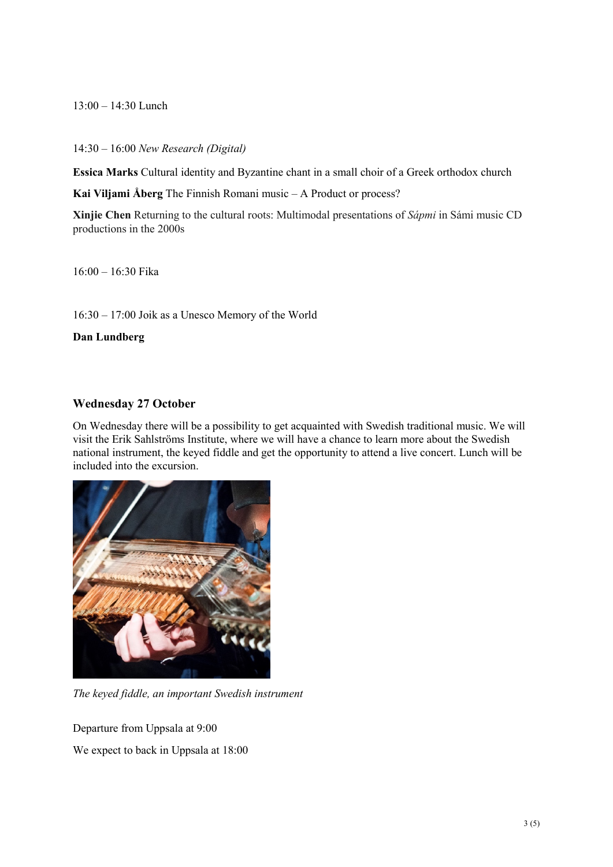13:00 – 14:30 Lunch

14:30 – 16:00 *New Research (Digital)*

**Essica Marks** Cultural identity and Byzantine chant in a small choir of a Greek orthodox church

**Kai Viljami Åberg** The Finnish Romani music – A Product or process?

**Xinjie Chen** Returning to the cultural roots: Multimodal presentations of *Sápmi* in Sámi music CD productions in the 2000s

16:00 – 16:30 Fika

16:30 – 17:00 Joik as a Unesco Memory of the World

**Dan Lundberg**

# **Wednesday 27 October**

On Wednesday there will be a possibility to get acquainted with Swedish traditional music. We will visit the Erik Sahlströms Institute, where we will have a chance to learn more about the Swedish national instrument, the keyed fiddle and get the opportunity to attend a live concert. Lunch will be included into the excursion.



*The keyed fiddle, an important Swedish instrument*

Departure from Uppsala at 9:00

We expect to back in Uppsala at 18:00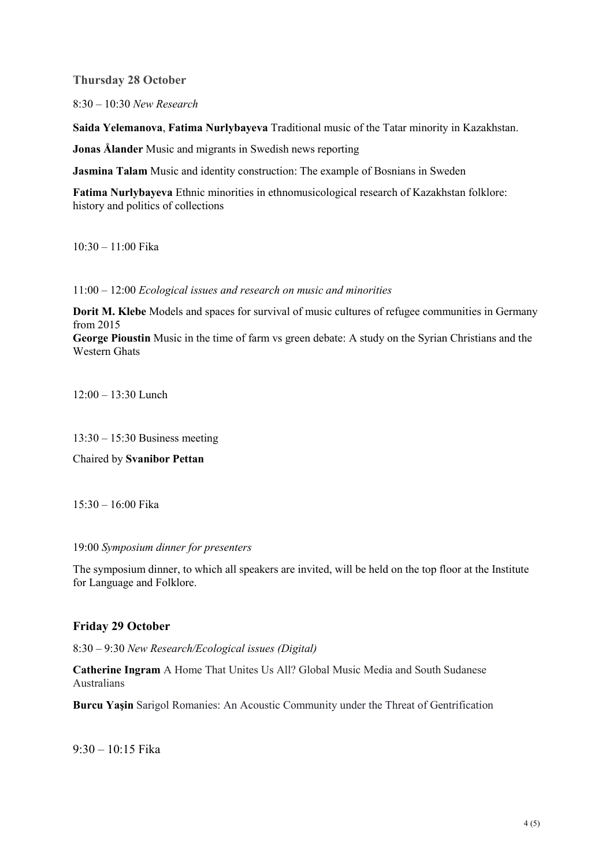**Thursday 28 October**

8:30 – 10:30 *New Research*

**Saida Yelemanova**, **Fatima Nurlybayeva** Traditional music of the Tatar minority in Kazakhstan.

**Jonas Ålander** Music and migrants in Swedish news reporting

**Jasmina Talam** Music and identity construction: The example of Bosnians in Sweden

**Fatima Nurlybayeva** Ethnic minorities in ethnomusicological research of Kazakhstan folklore: history and politics of collections

10:30 – 11:00 Fika

11:00 – 12:00 *Ecological issues and research on music and minorities*

**Dorit M. Klebe** Models and spaces for survival of music cultures of refugee communities in Germany from 2015

**George Pioustin** Music in the time of farm vs green debate: A study on the Syrian Christians and the Western Ghats

12:00 – 13:30 Lunch

13:30 – 15:30 Business meeting

Chaired by **Svanibor Pettan**

15:30 – 16:00 Fika

#### 19:00 *Symposium dinner for presenters*

The symposium dinner, to which all speakers are invited, will be held on the top floor at the Institute for Language and Folklore.

# **Friday 29 October**

8:30 – 9:30 *New Research/Ecological issues (Digital)*

**Catherine Ingram** A Home That Unites Us All? Global Music Media and South Sudanese Australians

**Burcu Yaşin** Sarigol Romanies: An Acoustic Community under the Threat of Gentrification

9:30 – 10:15 Fika